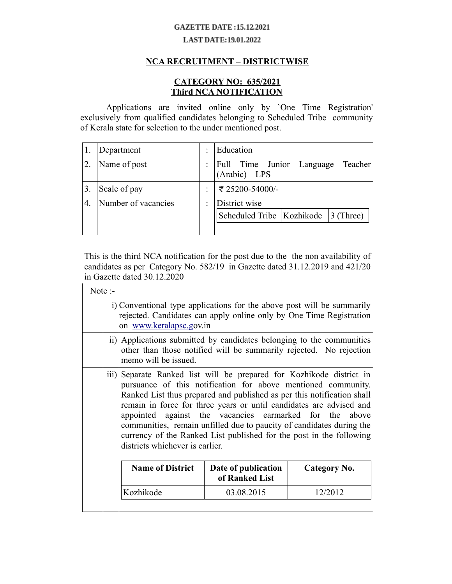## **GAZETTE DATE:15.12.2021**

## **LAST DATE:19.01.2022**

## **NCA RECRUITMENT – DISTRICTWISE**

## **CATEGORY NO: 635/2021 Third NCA NOTIFICATION**

Applications are invited online only by `One Time Registration' exclusively from qualified candidates belonging to Scheduled Tribe community of Kerala state for selection to the under mentioned post.

|                  | Department          | ٠ | Education                                                |
|------------------|---------------------|---|----------------------------------------------------------|
|                  | Name of post        | ÷ | Full Time Junior Language Teacher<br>$(Arabic) - LPS$    |
|                  | Scale of pay        | ٠ | ₹ 25200-54000/-                                          |
| $\overline{4}$ . | Number of vacancies | ٠ | District wise<br>Scheduled Tribe   Kozhikode   3 (Three) |

This is the third NCA notification for the post due to the the non availability of candidates as per Category No. 582/19 in Gazette dated 31.12.2019 and 421/20 in Gazette dated 30.12.2020

| Note $\cdot$     |                                                                                                                                                                                                                                                                                                                                                                                                                                                                                                                                |                                                                                                                                             |              |  |
|------------------|--------------------------------------------------------------------------------------------------------------------------------------------------------------------------------------------------------------------------------------------------------------------------------------------------------------------------------------------------------------------------------------------------------------------------------------------------------------------------------------------------------------------------------|---------------------------------------------------------------------------------------------------------------------------------------------|--------------|--|
|                  | i) Conventional type applications for the above post will be summarily<br>rejected. Candidates can apply online only by One Time Registration<br>on www.keralapsc.gov.in                                                                                                                                                                                                                                                                                                                                                       |                                                                                                                                             |              |  |
|                  | memo will be issued.                                                                                                                                                                                                                                                                                                                                                                                                                                                                                                           | ii) Applications submitted by candidates belonging to the communities<br>other than those notified will be summarily rejected. No rejection |              |  |
| $\overline{iii}$ | Separate Ranked list will be prepared for Kozhikode district in<br>pursuance of this notification for above mentioned community.<br>Ranked List thus prepared and published as per this notification shall<br>remain in force for three years or until candidates are advised and<br>appointed against the vacancies earmarked for the above<br>communities, remain unfilled due to paucity of candidates during the<br>currency of the Ranked List published for the post in the following<br>districts whichever is earlier. |                                                                                                                                             |              |  |
|                  | <b>Name of District</b>                                                                                                                                                                                                                                                                                                                                                                                                                                                                                                        | Date of publication<br>of Ranked List                                                                                                       | Category No. |  |
|                  | Kozhikode                                                                                                                                                                                                                                                                                                                                                                                                                                                                                                                      | 03.08.2015                                                                                                                                  | 12/2012      |  |
|                  |                                                                                                                                                                                                                                                                                                                                                                                                                                                                                                                                |                                                                                                                                             |              |  |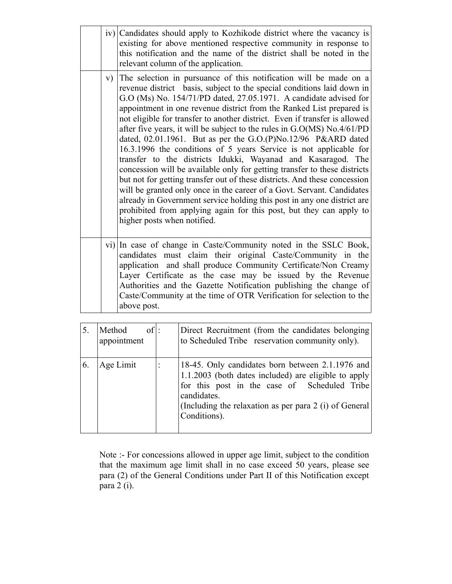|    |                                                                                                                                                                                                                                                                                                                                                                                                                             | iv) Candidates should apply to Kozhikode district where the vacancy is<br>existing for above mentioned respective community in response to<br>this notification and the name of the district shall be noted in the<br>relevant column of the application.                                                                                                                                                                                                                                                                                                                                                                                                                                                                                                                                                                                                                                                                                                                                                                                                                         |  |
|----|-----------------------------------------------------------------------------------------------------------------------------------------------------------------------------------------------------------------------------------------------------------------------------------------------------------------------------------------------------------------------------------------------------------------------------|-----------------------------------------------------------------------------------------------------------------------------------------------------------------------------------------------------------------------------------------------------------------------------------------------------------------------------------------------------------------------------------------------------------------------------------------------------------------------------------------------------------------------------------------------------------------------------------------------------------------------------------------------------------------------------------------------------------------------------------------------------------------------------------------------------------------------------------------------------------------------------------------------------------------------------------------------------------------------------------------------------------------------------------------------------------------------------------|--|
|    | V)                                                                                                                                                                                                                                                                                                                                                                                                                          | The selection in pursuance of this notification will be made on a<br>revenue district basis, subject to the special conditions laid down in<br>G.O (Ms) No. 154/71/PD dated, 27.05.1971. A candidate advised for<br>appointment in one revenue district from the Ranked List prepared is<br>not eligible for transfer to another district. Even if transfer is allowed<br>after five years, it will be subject to the rules in $G.O(MS)$ No.4/61/PD<br>dated, $02.01.1961$ . But as per the G.O.(P)No.12/96 P&ARD dated<br>16.3.1996 the conditions of 5 years Service is not applicable for<br>transfer to the districts Idukki, Wayanad and Kasaragod. The<br>concession will be available only for getting transfer to these districts<br>but not for getting transfer out of these districts. And these concession<br>will be granted only once in the career of a Govt. Servant. Candidates<br>already in Government service holding this post in any one district are<br>prohibited from applying again for this post, but they can apply to<br>higher posts when notified. |  |
|    | vi) In case of change in Caste/Community noted in the SSLC Book,<br>candidates must claim their original Caste/Community in the<br>application and shall produce Community Certificate/Non Creamy<br>Layer Certificate as the case may be issued by the Revenue<br>Authorities and the Gazette Notification publishing the change of<br>Caste/Community at the time of OTR Verification for selection to the<br>above post. |                                                                                                                                                                                                                                                                                                                                                                                                                                                                                                                                                                                                                                                                                                                                                                                                                                                                                                                                                                                                                                                                                   |  |
| 5. | Method                                                                                                                                                                                                                                                                                                                                                                                                                      | $of$ :<br>Direct Recruitment (from the candidates belonging)<br>$\sim$ 0.1. d. 1. 1 Tailer account in community of $\sim$                                                                                                                                                                                                                                                                                                                                                                                                                                                                                                                                                                                                                                                                                                                                                                                                                                                                                                                                                         |  |

| $\cup$ . | niculou<br><b>VII.</b><br>appointment | Driver Recruitment (from the candidates ocionging)<br>to Scheduled Tribe reservation community only).                                                                                                                                               |
|----------|---------------------------------------|-----------------------------------------------------------------------------------------------------------------------------------------------------------------------------------------------------------------------------------------------------|
| 6.       | Age Limit                             | 18-45. Only candidates born between 2.1.1976 and<br>$1.1.2003$ (both dates included) are eligible to apply<br>for this post in the case of Scheduled Tribe<br>candidates.<br>(Including the relaxation as per para 2 (i) of General<br>Conditions). |

Note :- For concessions allowed in upper age limit, subject to the condition that the maximum age limit shall in no case exceed 50 years, please see para (2) of the General Conditions under Part II of this Notification except para 2 (i).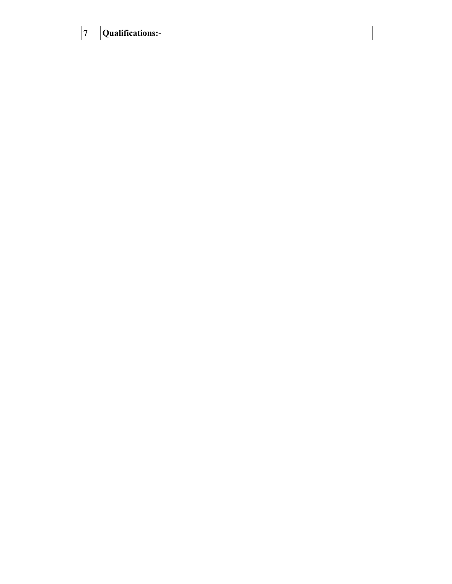| $7\overline{ }$ | Qualifications:- |  |
|-----------------|------------------|--|
|-----------------|------------------|--|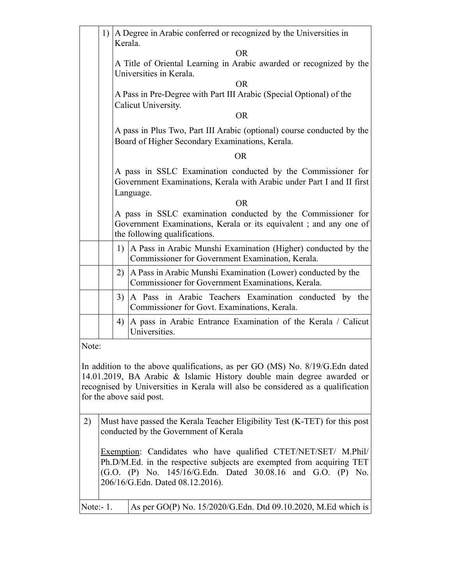|                                                                                                                                                                                                                                                                       |                                                                                                                                                                                                                                            | Kerala. | 1) A Degree in Arabic conferred or recognized by the Universities in                                                      |  |
|-----------------------------------------------------------------------------------------------------------------------------------------------------------------------------------------------------------------------------------------------------------------------|--------------------------------------------------------------------------------------------------------------------------------------------------------------------------------------------------------------------------------------------|---------|---------------------------------------------------------------------------------------------------------------------------|--|
|                                                                                                                                                                                                                                                                       |                                                                                                                                                                                                                                            |         | <b>OR</b>                                                                                                                 |  |
|                                                                                                                                                                                                                                                                       |                                                                                                                                                                                                                                            |         | A Title of Oriental Learning in Arabic awarded or recognized by the<br>Universities in Kerala.                            |  |
|                                                                                                                                                                                                                                                                       |                                                                                                                                                                                                                                            |         | <b>OR</b>                                                                                                                 |  |
|                                                                                                                                                                                                                                                                       |                                                                                                                                                                                                                                            |         | A Pass in Pre-Degree with Part III Arabic (Special Optional) of the<br>Calicut University.                                |  |
|                                                                                                                                                                                                                                                                       |                                                                                                                                                                                                                                            |         | <b>OR</b>                                                                                                                 |  |
|                                                                                                                                                                                                                                                                       |                                                                                                                                                                                                                                            |         | A pass in Plus Two, Part III Arabic (optional) course conducted by the<br>Board of Higher Secondary Examinations, Kerala. |  |
|                                                                                                                                                                                                                                                                       |                                                                                                                                                                                                                                            |         | <b>OR</b>                                                                                                                 |  |
|                                                                                                                                                                                                                                                                       | A pass in SSLC Examination conducted by the Commissioner for<br>Government Examinations, Kerala with Arabic under Part I and II first                                                                                                      |         |                                                                                                                           |  |
|                                                                                                                                                                                                                                                                       |                                                                                                                                                                                                                                            |         | Language.<br><b>OR</b>                                                                                                    |  |
|                                                                                                                                                                                                                                                                       | A pass in SSLC examination conducted by the Commissioner for<br>Government Examinations, Kerala or its equivalent; and any one of<br>the following qualifications.                                                                         |         |                                                                                                                           |  |
|                                                                                                                                                                                                                                                                       |                                                                                                                                                                                                                                            | 1)      | A Pass in Arabic Munshi Examination (Higher) conducted by the<br>Commissioner for Government Examination, Kerala.         |  |
|                                                                                                                                                                                                                                                                       |                                                                                                                                                                                                                                            | 2)      | A Pass in Arabic Munshi Examination (Lower) conducted by the<br>Commissioner for Government Examinations, Kerala.         |  |
|                                                                                                                                                                                                                                                                       |                                                                                                                                                                                                                                            | 3)      | A Pass in Arabic Teachers Examination conducted by the<br>Commissioner for Govt. Examinations, Kerala.                    |  |
|                                                                                                                                                                                                                                                                       |                                                                                                                                                                                                                                            | 4)      | A pass in Arabic Entrance Examination of the Kerala / Calicut<br>Universities.                                            |  |
| Note:                                                                                                                                                                                                                                                                 |                                                                                                                                                                                                                                            |         |                                                                                                                           |  |
| In addition to the above qualifications, as per GO (MS) No. 8/19/G. Edn dated<br>14.01.2019, BA Arabic & Islamic History double main degree awarded or<br>recognised by Universities in Kerala will also be considered as a qualification<br>for the above said post. |                                                                                                                                                                                                                                            |         |                                                                                                                           |  |
| 2)                                                                                                                                                                                                                                                                    | Must have passed the Kerala Teacher Eligibility Test (K-TET) for this post<br>conducted by the Government of Kerala                                                                                                                        |         |                                                                                                                           |  |
|                                                                                                                                                                                                                                                                       | Exemption: Candidates who have qualified CTET/NET/SET/ M.Phil/<br>Ph.D/M.Ed. in the respective subjects are exempted from acquiring TET<br>(G.O. (P) No. 145/16/G.Edn. Dated 30.08.16 and G.O. (P) No.<br>206/16/G.Edn. Dated 08.12.2016). |         |                                                                                                                           |  |
| Note:- $1$ .                                                                                                                                                                                                                                                          |                                                                                                                                                                                                                                            |         | As per GO(P) No. 15/2020/G.Edn. Dtd 09.10.2020, M.Ed which is                                                             |  |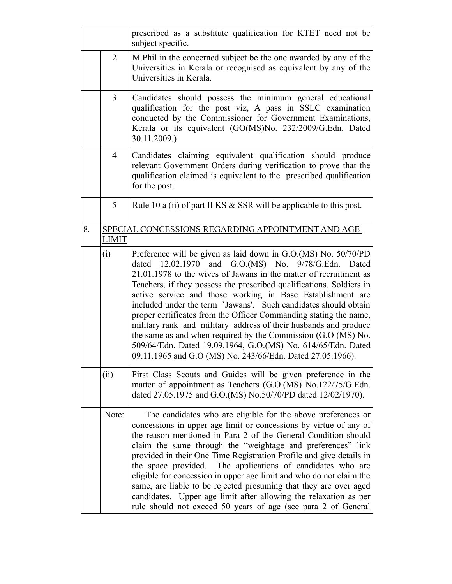|    |                | prescribed as a substitute qualification for KTET need not be<br>subject specific.                                                                                                                                                                                                                                                                                                                                                                                                                                                                                                                                                                                                                                                                     |
|----|----------------|--------------------------------------------------------------------------------------------------------------------------------------------------------------------------------------------------------------------------------------------------------------------------------------------------------------------------------------------------------------------------------------------------------------------------------------------------------------------------------------------------------------------------------------------------------------------------------------------------------------------------------------------------------------------------------------------------------------------------------------------------------|
|    | $\overline{2}$ | M. Phil in the concerned subject be the one awarded by any of the<br>Universities in Kerala or recognised as equivalent by any of the<br>Universities in Kerala.                                                                                                                                                                                                                                                                                                                                                                                                                                                                                                                                                                                       |
|    | 3              | Candidates should possess the minimum general educational<br>qualification for the post viz, A pass in SSLC examination<br>conducted by the Commissioner for Government Examinations,<br>Kerala or its equivalent (GO(MS)No. 232/2009/G.Edn. Dated<br>30.11.2009.)                                                                                                                                                                                                                                                                                                                                                                                                                                                                                     |
|    | $\overline{4}$ | Candidates claiming equivalent qualification should produce<br>relevant Government Orders during verification to prove that the<br>qualification claimed is equivalent to the prescribed qualification<br>for the post.                                                                                                                                                                                                                                                                                                                                                                                                                                                                                                                                |
|    | 5              | Rule 10 a (ii) of part II KS $&$ SSR will be applicable to this post.                                                                                                                                                                                                                                                                                                                                                                                                                                                                                                                                                                                                                                                                                  |
| 8. | <b>LIMIT</b>   | SPECIAL CONCESSIONS REGARDING APPOINTMENT AND AGE                                                                                                                                                                                                                                                                                                                                                                                                                                                                                                                                                                                                                                                                                                      |
|    | (i)            | Preference will be given as laid down in G.O.(MS) No. 50/70/PD<br>and $G.O.(MS)$ No. $9/78/G.Edn$ .<br>dated 12.02.1970<br>Dated<br>21.01.1978 to the wives of Jawans in the matter of recruitment as<br>Teachers, if they possess the prescribed qualifications. Soldiers in<br>active service and those working in Base Establishment are<br>included under the term `Jawans'. Such candidates should obtain<br>proper certificates from the Officer Commanding stating the name,<br>military rank and military address of their husbands and produce<br>the same as and when required by the Commission (G.O (MS) No.<br>509/64/Edn. Dated 19.09.1964, G.O.(MS) No. 614/65/Edn. Dated<br>09.11.1965 and G.O (MS) No. 243/66/Edn. Dated 27.05.1966). |
|    | (ii)           | First Class Scouts and Guides will be given preference in the<br>matter of appointment as Teachers (G.O.(MS) No.122/75/G.Edn.<br>dated 27.05.1975 and G.O.(MS) No.50/70/PD dated 12/02/1970).                                                                                                                                                                                                                                                                                                                                                                                                                                                                                                                                                          |
|    | Note:          | The candidates who are eligible for the above preferences or<br>concessions in upper age limit or concessions by virtue of any of<br>the reason mentioned in Para 2 of the General Condition should<br>claim the same through the "weightage and preferences" link<br>provided in their One Time Registration Profile and give details in<br>the space provided. The applications of candidates who are<br>eligible for concession in upper age limit and who do not claim the<br>same, are liable to be rejected presuming that they are over aged<br>candidates. Upper age limit after allowing the relaxation as per<br>rule should not exceed 50 years of age (see para 2 of General                                                               |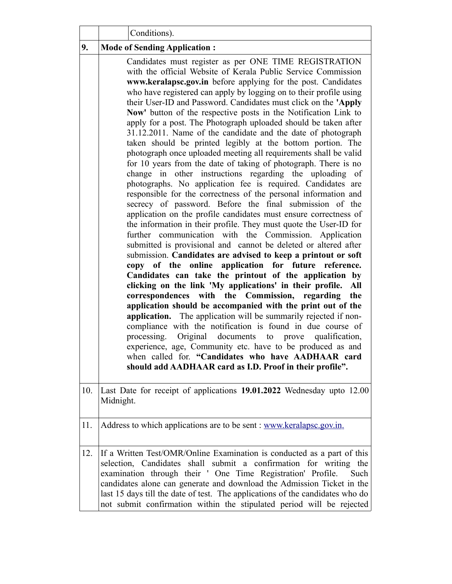|     | Conditions).                                                                                                                                                                                                                                                                                                                                                                                                                                                                                                                                                                                                                                                                                                                                                                                                                                                                                                                                                                                                                                                                                                                                                                                                                                                                                                                                                                                                                                                                                                                                                                                                                                                                                                                                                                                                                                                                                                                                                                                                                                   |
|-----|------------------------------------------------------------------------------------------------------------------------------------------------------------------------------------------------------------------------------------------------------------------------------------------------------------------------------------------------------------------------------------------------------------------------------------------------------------------------------------------------------------------------------------------------------------------------------------------------------------------------------------------------------------------------------------------------------------------------------------------------------------------------------------------------------------------------------------------------------------------------------------------------------------------------------------------------------------------------------------------------------------------------------------------------------------------------------------------------------------------------------------------------------------------------------------------------------------------------------------------------------------------------------------------------------------------------------------------------------------------------------------------------------------------------------------------------------------------------------------------------------------------------------------------------------------------------------------------------------------------------------------------------------------------------------------------------------------------------------------------------------------------------------------------------------------------------------------------------------------------------------------------------------------------------------------------------------------------------------------------------------------------------------------------------|
| 9.  | <b>Mode of Sending Application:</b>                                                                                                                                                                                                                                                                                                                                                                                                                                                                                                                                                                                                                                                                                                                                                                                                                                                                                                                                                                                                                                                                                                                                                                                                                                                                                                                                                                                                                                                                                                                                                                                                                                                                                                                                                                                                                                                                                                                                                                                                            |
|     | Candidates must register as per ONE TIME REGISTRATION<br>with the official Website of Kerala Public Service Commission<br>www.keralapsc.gov.in before applying for the post. Candidates<br>who have registered can apply by logging on to their profile using<br>their User-ID and Password. Candidates must click on the 'Apply<br>Now' button of the respective posts in the Notification Link to<br>apply for a post. The Photograph uploaded should be taken after<br>31.12.2011. Name of the candidate and the date of photograph<br>taken should be printed legibly at the bottom portion. The<br>photograph once uploaded meeting all requirements shall be valid<br>for 10 years from the date of taking of photograph. There is no<br>change in other instructions regarding the uploading of<br>photographs. No application fee is required. Candidates are<br>responsible for the correctness of the personal information and<br>secrecy of password. Before the final submission of the<br>application on the profile candidates must ensure correctness of<br>the information in their profile. They must quote the User-ID for<br>further communication with the Commission. Application<br>submitted is provisional and cannot be deleted or altered after<br>submission. Candidates are advised to keep a printout or soft<br>online application for future<br>copy of the<br>reference.<br>Candidates can take the printout of the application by<br>clicking on the link 'My applications' in their profile.<br>All<br>correspondences with the Commission, regarding<br>the<br>application should be accompanied with the print out of the<br>application. The application will be summarily rejected if non-<br>compliance with the notification is found in due course of<br>Original documents to prove<br>processing.<br>qualification,<br>experience, age, Community etc. have to be produced as and<br>when called for. "Candidates who have AADHAAR card<br>should add AADHAAR card as I.D. Proof in their profile". |
| 10. | Last Date for receipt of applications 19.01.2022 Wednesday upto 12.00<br>Midnight.                                                                                                                                                                                                                                                                                                                                                                                                                                                                                                                                                                                                                                                                                                                                                                                                                                                                                                                                                                                                                                                                                                                                                                                                                                                                                                                                                                                                                                                                                                                                                                                                                                                                                                                                                                                                                                                                                                                                                             |
| 11. | Address to which applications are to be sent : www.keralapsc.gov.in.                                                                                                                                                                                                                                                                                                                                                                                                                                                                                                                                                                                                                                                                                                                                                                                                                                                                                                                                                                                                                                                                                                                                                                                                                                                                                                                                                                                                                                                                                                                                                                                                                                                                                                                                                                                                                                                                                                                                                                           |
| 12. | If a Written Test/OMR/Online Examination is conducted as a part of this<br>selection, Candidates shall submit a confirmation for writing the<br>examination through their ' One Time Registration' Profile.<br>Such<br>candidates alone can generate and download the Admission Ticket in the<br>last 15 days till the date of test. The applications of the candidates who do<br>not submit confirmation within the stipulated period will be rejected                                                                                                                                                                                                                                                                                                                                                                                                                                                                                                                                                                                                                                                                                                                                                                                                                                                                                                                                                                                                                                                                                                                                                                                                                                                                                                                                                                                                                                                                                                                                                                                        |